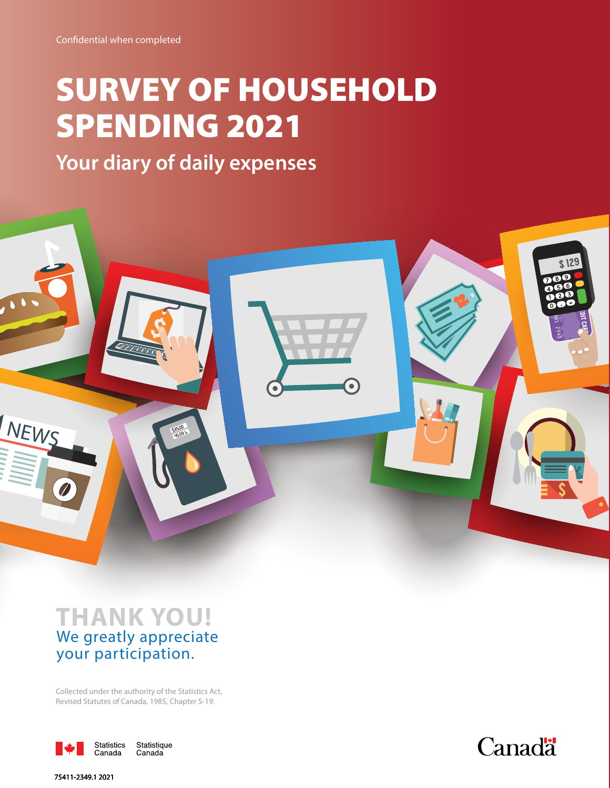# SURVEY OF HOUSEHOLD SPENDING 2021

**Your diary of daily expenses**



# **THANK YOU!**  We greatly appreciate your participation.

Collected under the authority of the Statistics Act, Revised Statutes of Canada, 1985, Chapter S-19.





**75411-2349.1 2021**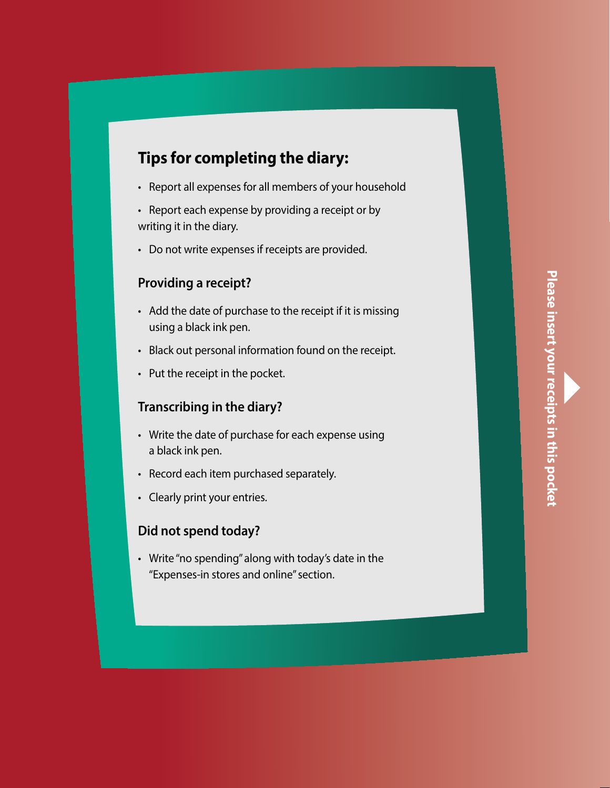## **Tips for completing the diary: Tips for completing the diary:**

- Report **all** expenses for **all members of your household** Report **all** expenses for **all members of your household** Report all expenses for all members of your household
- Report each expense by providing a receipt or by Report each expense by providing a receipt or by Report each expense by providing a receipt or by writing it in the diary. writing it in the diary. writing it in the diary. Tips for completing the diary:<br>
Peport all expenses for all members of you<br>
Peport each expense by providing a receip<br>
writing it in the diary.<br>
Do not write expenses if receipts are provident<br>
Providing a receipt?<br>
Provid
	- Do not write expenses if receipts are provided. Do not write expenses if receipts are provided. Do not write expenses if receipts are provided.

## **Providing a receipt? Providing a receipt? Providing a receipt?**

- Add the date of purchase to the receipt if it is missing Add the date of purchase to the receipt if it is missing Add the date of purchase to the receipt if it is missing using a black ink pen. using a black ink pen. using a black ink pen.
- Black out personal information found on the receipt. Black out personal information found on the receipt. Black out personal information found on the receipt.
- Put the receipt in the pocket. Put the receipt in the pocket. Put the receipt in the pocket.

## **Transcribing in the diary? Transcribing in the diary? Transcribing in the diary?**

- Write the date of purchase for each expense using Write the date of purchase for each expense using Write the date of purchase for each expense using a black ink pen. a black ink pen. a black ink pen.
- Record each item purchased separately. Record each item purchased separately. Record each item purchased separately.
- Clearly print your entries. Clearly print your entries. Clearly print your entries.

## **Did not spend today? Did not spend today? Did not spend today?**

• Write "no spending" along with today's date in the • Write "no spending" along with today's date in the • Write "no spending" along with today's date in the "Expenses-in stores and online" section. "Expenses-in stores and online" section. "Expenses-in stores and online" section.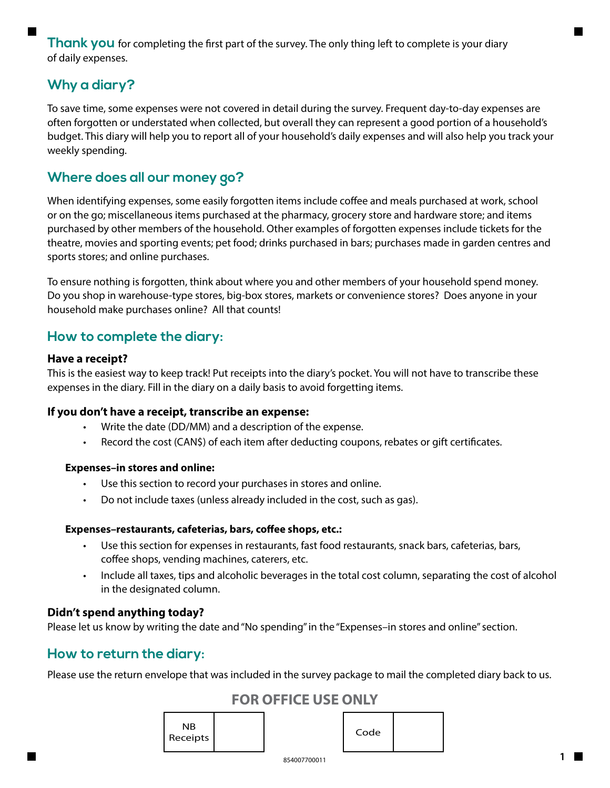**Thank you** for completing the first part of the survey. The only thing left to complete is your diary of daily expenses.

## **Why a diary?**

To save time, some expenses were not covered in detail during the survey. Frequent day-to-day expenses are often forgotten or understated when collected, but overall they can represent a good portion of a household's budget. This diary will help you to report all of your household's daily expenses and will also help you track your weekly spending.

## **Where does all our money go?**

When identifying expenses, some easily forgotten items include coffee and meals purchased at work, school or on the go; miscellaneous items purchased at the pharmacy, grocery store and hardware store; and items purchased by other members of the household. Other examples of forgotten expenses include tickets for the theatre, movies and sporting events; pet food; drinks purchased in bars; purchases made in garden centres and sports stores; and online purchases.

To ensure nothing is forgotten, think about where you and other members of your household spend money. Do you shop in warehouse-type stores, big-box stores, markets or convenience stores? Does anyone in your household make purchases online? All that counts!

## **How to complete the diary:**

## **Have a receipt?**

This is the easiest way to keep track! Put receipts into the diary's pocket. You will not have to transcribe these expenses in the diary. Fill in the diary on a daily basis to avoid forgetting items.

## **If you don't have a receipt, transcribe an expense:**

- Write the date (DD/MM) and a description of the expense.
- Record the cost (CAN\$) of each item after deducting coupons, rebates or gift certificates.

### **Expenses–in stores and online:**

- Use this section to record your purchases in stores and online.
- Do not include taxes (unless already included in the cost, such as gas).

### **Expenses–restaurants, cafeterias, bars, coffee shops, etc.:**

- Use this section for expenses in restaurants, fast food restaurants, snack bars, cafeterias, bars, coffee shops, vending machines, caterers, etc.
- Include all taxes, tips and alcoholic beverages in the total cost column, separating the cost of alcohol in the designated column.

## **Didn't spend anything today?**

Please let us know by writing the date and "No spending" in the "Expenses–in stores and online" section.

## **How to return the diary:**

Please use the return envelope that was included in the survey package to mail the completed diary back to us.

## **FOR OFFICE USE ONLY**

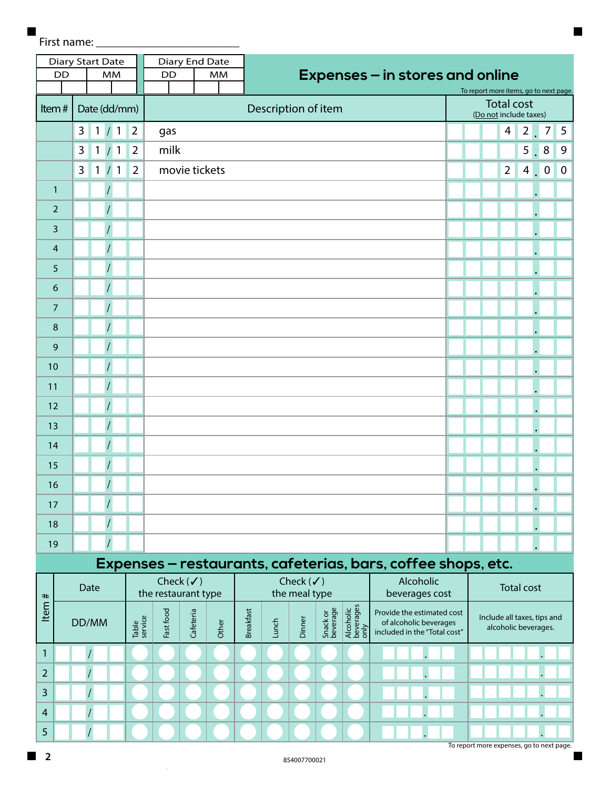First name:

 $\blacksquare$ 

| <b>DD</b>      |                           | Diary Start Date<br><b>MM</b> |                | <b>DD</b>                                   | Diary End Date | <b>MM</b> |                  |                     |                                       |                      |                                | Expenses - in stores and online                                                      |  |  |                        |                   |                                                     | To report more items, go to next page. |             |  |
|----------------|---------------------------|-------------------------------|----------------|---------------------------------------------|----------------|-----------|------------------|---------------------|---------------------------------------|----------------------|--------------------------------|--------------------------------------------------------------------------------------|--|--|------------------------|-------------------|-----------------------------------------------------|----------------------------------------|-------------|--|
| Item#          |                           | Date (dd/mm)                  |                |                                             |                |           |                  | Description of item |                                       |                      |                                |                                                                                      |  |  | (Do not include taxes) | <b>Total cost</b> |                                                     |                                        |             |  |
|                | 3                         | $\mathbf{1}$<br>1/            | $\overline{2}$ | gas                                         |                |           |                  |                     |                                       |                      |                                |                                                                                      |  |  |                        | 4                 | $2\sqrt{ }$                                         | $\overline{7}$                         | 5           |  |
|                | 3                         | $\left( 1 \right)$<br>1/      | $\overline{2}$ | milk                                        |                |           |                  |                     |                                       |                      |                                |                                                                                      |  |  |                        |                   | $5 \mid$                                            | 8                                      | 9           |  |
|                | $\overline{3}$            | 1/1                           | $\overline{2}$ |                                             | movie tickets  |           |                  |                     |                                       |                      |                                |                                                                                      |  |  |                        | $\overline{2}$    | $4 \blacksquare$                                    | $\mathbf 0$                            | $\mathbf 0$ |  |
| $\mathbf{1}$   |                           |                               |                |                                             |                |           |                  |                     |                                       |                      |                                |                                                                                      |  |  |                        |                   |                                                     |                                        |             |  |
| $\overline{2}$ |                           |                               |                |                                             |                |           |                  |                     |                                       |                      |                                |                                                                                      |  |  |                        |                   |                                                     |                                        |             |  |
| 3              |                           |                               |                |                                             |                |           |                  |                     |                                       |                      |                                |                                                                                      |  |  |                        |                   |                                                     |                                        |             |  |
| $\overline{4}$ |                           |                               |                |                                             |                |           |                  |                     |                                       |                      |                                |                                                                                      |  |  |                        |                   |                                                     |                                        |             |  |
| 5              |                           |                               |                |                                             |                |           |                  |                     |                                       |                      |                                |                                                                                      |  |  |                        |                   |                                                     |                                        |             |  |
| 6              |                           |                               |                |                                             |                |           |                  |                     |                                       |                      |                                |                                                                                      |  |  |                        |                   |                                                     |                                        |             |  |
| 7              |                           |                               |                |                                             |                |           |                  |                     |                                       |                      |                                |                                                                                      |  |  |                        |                   |                                                     |                                        |             |  |
| 8              |                           |                               |                |                                             |                |           |                  |                     |                                       |                      |                                |                                                                                      |  |  |                        |                   |                                                     |                                        |             |  |
| 9              |                           |                               |                |                                             |                |           |                  |                     |                                       |                      |                                |                                                                                      |  |  |                        |                   |                                                     |                                        |             |  |
| 10             |                           |                               |                |                                             |                |           |                  |                     |                                       |                      |                                |                                                                                      |  |  |                        |                   |                                                     |                                        |             |  |
| 11             |                           |                               |                |                                             |                |           |                  |                     |                                       |                      |                                |                                                                                      |  |  |                        |                   |                                                     |                                        |             |  |
| 12             |                           |                               |                |                                             |                |           |                  |                     |                                       |                      |                                |                                                                                      |  |  |                        |                   |                                                     |                                        |             |  |
| 13             |                           |                               |                |                                             |                |           |                  |                     |                                       |                      |                                |                                                                                      |  |  |                        |                   |                                                     |                                        |             |  |
| 14             |                           |                               |                |                                             |                |           |                  |                     |                                       |                      |                                |                                                                                      |  |  |                        |                   |                                                     |                                        |             |  |
| 15             |                           |                               |                |                                             |                |           |                  |                     |                                       |                      |                                |                                                                                      |  |  |                        |                   |                                                     |                                        |             |  |
| 16             |                           |                               |                |                                             |                |           |                  |                     |                                       |                      |                                |                                                                                      |  |  |                        |                   |                                                     |                                        |             |  |
| 17             |                           |                               |                |                                             |                |           |                  |                     |                                       |                      |                                |                                                                                      |  |  |                        |                   |                                                     |                                        |             |  |
| 18             |                           |                               |                |                                             |                |           |                  |                     |                                       |                      |                                |                                                                                      |  |  |                        |                   |                                                     |                                        |             |  |
| 19             |                           |                               |                |                                             |                |           |                  |                     |                                       |                      |                                |                                                                                      |  |  |                        |                   |                                                     |                                        |             |  |
|                |                           |                               |                |                                             |                |           |                  |                     |                                       |                      |                                | Expenses - restaurants, cafeterias, bars, coffee shops, etc.                         |  |  |                        |                   |                                                     |                                        |             |  |
|                |                           | Date                          |                | Check $(\checkmark)$<br>the restaurant type |                |           |                  |                     | Check $(\checkmark)$<br>the meal type |                      |                                | Alcoholic<br>beverages cost                                                          |  |  | <b>Total cost</b>      |                   |                                                     |                                        |             |  |
| Item#          | Table<br>service<br>DD/MM |                               |                |                                             | Cafeteria      | Other     | <b>Breakfast</b> | Lunch               | Dinner                                | Snack or<br>beverage | Alcoholic<br>beverages<br>only | Provide the estimated cost<br>of alcoholic beverages<br>included in the "Total cost" |  |  |                        |                   | Include all taxes, tips and<br>alcoholic beverages. |                                        |             |  |

To report more expenses, go to next page.

.

.

.

. .

> . .

. .

.

4 5

1 2 3 / / / /

/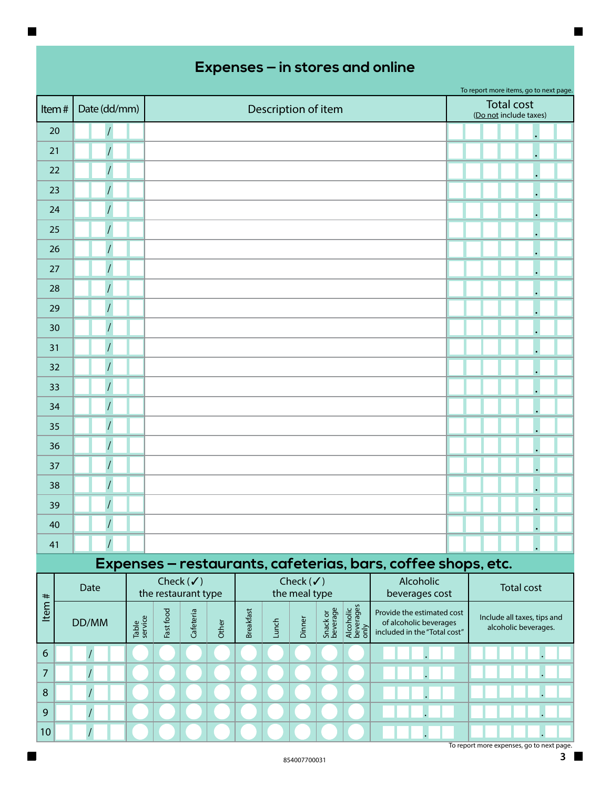| Item#        | Date (dd/mm)   | Description of item |                     |                      |       |                  |       |                                       |                      |                                |                                                                                      |  | <b>Total cost</b><br>(Do not include taxes) |                                                     |  |
|--------------|----------------|---------------------|---------------------|----------------------|-------|------------------|-------|---------------------------------------|----------------------|--------------------------------|--------------------------------------------------------------------------------------|--|---------------------------------------------|-----------------------------------------------------|--|
| 20           |                |                     |                     |                      |       |                  |       |                                       |                      |                                |                                                                                      |  |                                             |                                                     |  |
| 21           |                |                     |                     |                      |       |                  |       |                                       |                      |                                |                                                                                      |  |                                             |                                                     |  |
| 22           |                |                     |                     |                      |       |                  |       |                                       |                      |                                |                                                                                      |  |                                             |                                                     |  |
| 23           |                |                     |                     |                      |       |                  |       |                                       |                      |                                |                                                                                      |  |                                             |                                                     |  |
| 24           | $\overline{I}$ |                     |                     |                      |       |                  |       |                                       |                      |                                |                                                                                      |  |                                             |                                                     |  |
| 25           |                |                     |                     |                      |       |                  |       |                                       |                      |                                |                                                                                      |  |                                             |                                                     |  |
| 26           |                |                     |                     |                      |       |                  |       |                                       |                      |                                |                                                                                      |  |                                             |                                                     |  |
| 27           |                |                     |                     |                      |       |                  |       |                                       |                      |                                |                                                                                      |  |                                             |                                                     |  |
| 28           | $\prime$       |                     |                     |                      |       |                  |       |                                       |                      |                                |                                                                                      |  |                                             | $\bullet$                                           |  |
| 29           |                |                     |                     |                      |       |                  |       |                                       |                      |                                |                                                                                      |  |                                             |                                                     |  |
| 30           |                |                     |                     |                      |       |                  |       |                                       |                      |                                |                                                                                      |  |                                             |                                                     |  |
| 31           | $\overline{I}$ |                     |                     |                      |       |                  |       |                                       |                      |                                |                                                                                      |  |                                             |                                                     |  |
| 32           |                |                     |                     |                      |       |                  |       |                                       |                      |                                |                                                                                      |  |                                             |                                                     |  |
| 33           |                |                     |                     |                      |       |                  |       |                                       |                      |                                |                                                                                      |  |                                             |                                                     |  |
| 34           |                |                     |                     |                      |       |                  |       |                                       |                      |                                |                                                                                      |  |                                             |                                                     |  |
| 35           |                |                     |                     |                      |       |                  |       |                                       |                      |                                |                                                                                      |  |                                             |                                                     |  |
| 36           |                |                     |                     |                      |       |                  |       |                                       |                      |                                |                                                                                      |  |                                             |                                                     |  |
| 37           |                |                     |                     |                      |       |                  |       |                                       |                      |                                |                                                                                      |  |                                             |                                                     |  |
| 38           |                |                     |                     |                      |       |                  |       |                                       |                      |                                |                                                                                      |  |                                             |                                                     |  |
| 39           |                |                     |                     |                      |       |                  |       |                                       |                      |                                |                                                                                      |  |                                             |                                                     |  |
| 40           |                |                     |                     |                      |       |                  |       |                                       |                      |                                |                                                                                      |  |                                             |                                                     |  |
| 41           | $\overline{1}$ |                     |                     |                      |       |                  |       |                                       |                      |                                |                                                                                      |  |                                             |                                                     |  |
|              |                |                     |                     |                      |       |                  |       |                                       |                      |                                | Expenses - restaurants, cafeterias, bars, coffee shops, etc.                         |  |                                             |                                                     |  |
|              | Date           |                     | the restaurant type | Check $(\checkmark)$ |       |                  |       | Check $(\checkmark)$<br>the meal type |                      |                                | Alcoholic<br>beverages cost                                                          |  |                                             | <b>Total cost</b>                                   |  |
| Item#        | DD/MM          | Table<br>service    | Fast food           | Cafeteria            | Other | <b>Breakfast</b> | Lunch | Dinner                                | Snack or<br>beverage | Alcoholic<br>beverages<br>only | Provide the estimated cost<br>of alcoholic beverages<br>included in the "Total cost" |  |                                             | Include all taxes, tips and<br>alcoholic beverages. |  |
| 6            | $\sqrt{2}$     |                     |                     |                      |       |                  |       |                                       |                      |                                |                                                                                      |  |                                             |                                                     |  |
| 7            |                |                     |                     |                      |       |                  |       |                                       |                      |                                |                                                                                      |  |                                             |                                                     |  |
| $\, 8$       | $\overline{1}$ |                     |                     |                      |       |                  |       |                                       |                      |                                |                                                                                      |  |                                             |                                                     |  |
| $\mathbf{9}$ |                |                     |                     |                      |       |                  |       |                                       |                      |                                |                                                                                      |  |                                             |                                                     |  |

.

.

To report more items, go to next page.

 $\blacksquare$ 

 $\blacksquare$ 

10

/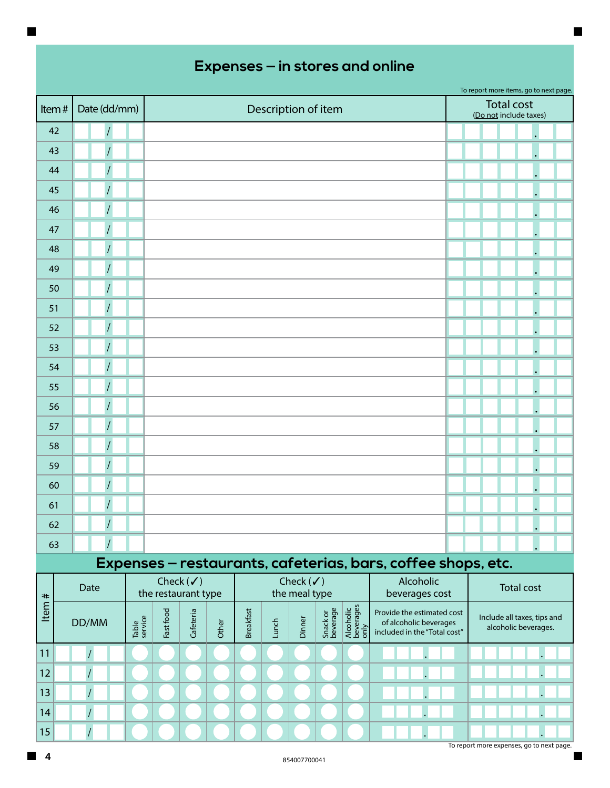|       |                |                                                              |                                              |                                      |  |                   | To report more items, go to next page. |  |
|-------|----------------|--------------------------------------------------------------|----------------------------------------------|--------------------------------------|--|-------------------|----------------------------------------|--|
| Item# | Date (dd/mm)   |                                                              | Description of item                          |                                      |  | <b>Total cost</b> | (Do not include taxes)                 |  |
| 42    | $\overline{1}$ |                                                              |                                              |                                      |  |                   |                                        |  |
| 43    |                |                                                              |                                              |                                      |  |                   |                                        |  |
| 44    |                |                                                              |                                              |                                      |  |                   |                                        |  |
| 45    |                |                                                              |                                              |                                      |  |                   |                                        |  |
| 46    |                |                                                              |                                              |                                      |  |                   |                                        |  |
| 47    |                |                                                              |                                              |                                      |  |                   |                                        |  |
| 48    |                |                                                              |                                              |                                      |  |                   |                                        |  |
| 49    |                |                                                              |                                              |                                      |  |                   |                                        |  |
| 50    | $\overline{I}$ |                                                              |                                              |                                      |  |                   |                                        |  |
| 51    |                |                                                              |                                              |                                      |  |                   |                                        |  |
| 52    |                |                                                              |                                              |                                      |  |                   |                                        |  |
| 53    |                |                                                              |                                              |                                      |  |                   |                                        |  |
| 54    |                |                                                              |                                              |                                      |  |                   |                                        |  |
| 55    |                |                                                              |                                              |                                      |  |                   |                                        |  |
| 56    |                |                                                              |                                              |                                      |  |                   |                                        |  |
| 57    |                |                                                              |                                              |                                      |  |                   |                                        |  |
| 58    |                |                                                              |                                              |                                      |  |                   |                                        |  |
| 59    |                |                                                              |                                              |                                      |  |                   |                                        |  |
| 60    | $\overline{1}$ |                                                              |                                              |                                      |  |                   |                                        |  |
| 61    |                |                                                              |                                              |                                      |  |                   |                                        |  |
| 62    | $\overline{I}$ |                                                              |                                              |                                      |  |                   |                                        |  |
| 63    |                |                                                              |                                              |                                      |  |                   |                                        |  |
|       |                | Expenses - restaurants, cafeterias, bars, coffee shops, etc. |                                              |                                      |  |                   |                                        |  |
|       | Date           | Check $(\checkmark)$<br>and the complete complete            | Check $(\checkmark)$<br>take a construction. | Alcoholic<br>The processes and a re- |  |                   | <b>Total cost</b>                      |  |

| #    | Date  |                  |           | Check $(\checkmark)$<br>the restaurant type |       |                  |      | Check $(\checkmark)$<br>the meal type |                      |                                | <b>Alcoholic</b><br>beverages cost                                                   | Total cost                                          |  |  |
|------|-------|------------------|-----------|---------------------------------------------|-------|------------------|------|---------------------------------------|----------------------|--------------------------------|--------------------------------------------------------------------------------------|-----------------------------------------------------|--|--|
| Item | DD/MM | Table<br>service | Fast food | Cafeteria                                   | Other | <b>Breakfast</b> | unch | $\overline{\mathsf{d}}$<br>ā          | Snack or<br>beverage | Alcoholic<br>beverages<br>only | Provide the estimated cost<br>of alcoholic beverages<br>included in the "Total cost" | Include all taxes, tips and<br>alcoholic beverages. |  |  |
| 11   |       |                  |           |                                             |       |                  |      |                                       |                      |                                |                                                                                      |                                                     |  |  |
| 12   |       |                  |           |                                             |       |                  |      |                                       |                      |                                |                                                                                      |                                                     |  |  |
| 13   |       |                  |           |                                             |       |                  |      |                                       |                      |                                |                                                                                      |                                                     |  |  |
| 14   |       |                  |           |                                             |       |                  |      |                                       |                      |                                |                                                                                      |                                                     |  |  |
| 15   |       |                  |           |                                             |       |                  |      |                                       |                      |                                |                                                                                      |                                                     |  |  |

To report more expenses, go to next page.

П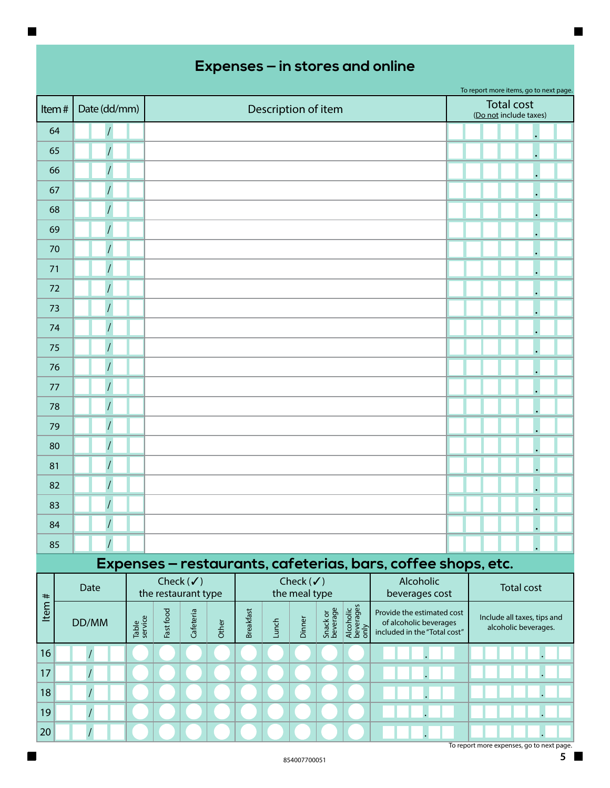|       |                           |  |                      |           |       |                  |       |                      |                      |                                |                                                                                      |  |  | To report more items, go to next page.<br><b>Total cost</b> |  |
|-------|---------------------------|--|----------------------|-----------|-------|------------------|-------|----------------------|----------------------|--------------------------------|--------------------------------------------------------------------------------------|--|--|-------------------------------------------------------------|--|
| Item# | Date (dd/mm)              |  |                      |           |       |                  |       | Description of item  |                      |                                |                                                                                      |  |  | (Do not include taxes)                                      |  |
| 64    |                           |  |                      |           |       |                  |       |                      |                      |                                |                                                                                      |  |  |                                                             |  |
| 65    |                           |  |                      |           |       |                  |       |                      |                      |                                |                                                                                      |  |  |                                                             |  |
| 66    |                           |  |                      |           |       |                  |       |                      |                      |                                |                                                                                      |  |  |                                                             |  |
| 67    |                           |  |                      |           |       |                  |       |                      |                      |                                |                                                                                      |  |  |                                                             |  |
| 68    |                           |  |                      |           |       |                  |       |                      |                      |                                |                                                                                      |  |  |                                                             |  |
| 69    |                           |  |                      |           |       |                  |       |                      |                      |                                |                                                                                      |  |  |                                                             |  |
| 70    |                           |  |                      |           |       |                  |       |                      |                      |                                |                                                                                      |  |  |                                                             |  |
| 71    |                           |  |                      |           |       |                  |       |                      |                      |                                |                                                                                      |  |  |                                                             |  |
| 72    |                           |  |                      |           |       |                  |       |                      |                      |                                |                                                                                      |  |  |                                                             |  |
| 73    |                           |  |                      |           |       |                  |       |                      |                      |                                |                                                                                      |  |  |                                                             |  |
| 74    |                           |  |                      |           |       |                  |       |                      |                      |                                |                                                                                      |  |  |                                                             |  |
| 75    |                           |  |                      |           |       |                  |       |                      |                      |                                |                                                                                      |  |  |                                                             |  |
| 76    |                           |  |                      |           |       |                  |       |                      |                      |                                |                                                                                      |  |  |                                                             |  |
| 77    |                           |  |                      |           |       |                  |       |                      |                      |                                |                                                                                      |  |  |                                                             |  |
| 78    |                           |  |                      |           |       |                  |       |                      |                      |                                |                                                                                      |  |  |                                                             |  |
| 79    |                           |  |                      |           |       |                  |       |                      |                      |                                |                                                                                      |  |  |                                                             |  |
| 80    |                           |  |                      |           |       |                  |       |                      |                      |                                |                                                                                      |  |  |                                                             |  |
| 81    |                           |  |                      |           |       |                  |       |                      |                      |                                |                                                                                      |  |  |                                                             |  |
| 82    |                           |  |                      |           |       |                  |       |                      |                      |                                |                                                                                      |  |  |                                                             |  |
| 83    |                           |  |                      |           |       |                  |       |                      |                      |                                |                                                                                      |  |  |                                                             |  |
| 84    | $\overline{I}$            |  |                      |           |       |                  |       |                      |                      |                                |                                                                                      |  |  |                                                             |  |
| 85    |                           |  |                      |           |       |                  |       |                      |                      |                                |                                                                                      |  |  |                                                             |  |
|       |                           |  |                      |           |       |                  |       |                      |                      |                                | Expenses - restaurants, cafeterias, bars, coffee shops, etc.                         |  |  |                                                             |  |
|       |                           |  | Check $(\checkmark)$ |           |       |                  |       | Check $(\checkmark)$ |                      |                                | Alcoholic                                                                            |  |  | Total cost                                                  |  |
|       | Date                      |  | the restaurant type  |           |       |                  |       | the meal type        |                      |                                | beverages cost                                                                       |  |  |                                                             |  |
| Item# | Table<br>service<br>DD/MM |  | Fast food            | Cafeteria | Other | <b>Breakfast</b> | Lunch | Dinner               | Snack or<br>beverage | Alcoholic<br>beverages<br>only | Provide the estimated cost<br>of alcoholic beverages<br>included in the "Total cost" |  |  | Include all taxes, tips and<br>alcoholic beverages.         |  |
| 16    |                           |  |                      |           |       |                  |       |                      |                      |                                |                                                                                      |  |  |                                                             |  |
| 17    |                           |  |                      |           |       |                  |       |                      |                      |                                |                                                                                      |  |  |                                                             |  |
| 18    |                           |  |                      |           |       |                  |       |                      |                      |                                |                                                                                      |  |  |                                                             |  |

. .  $\blacksquare$ 

.

.

 $\blacksquare$ 

 $\blacksquare$ 

19

/ /

20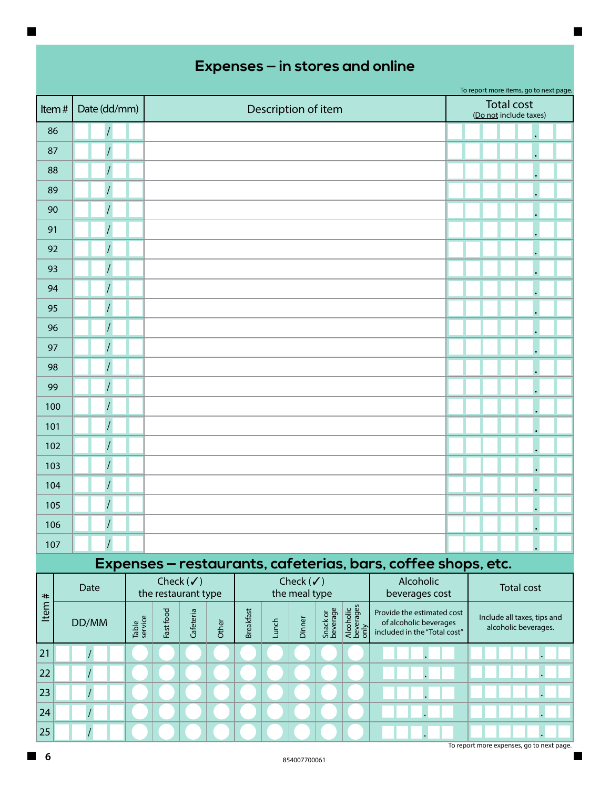|       |                      |                                             |                                                              |                   |  |                   | To report more items, go to next page. |  |  |
|-------|----------------------|---------------------------------------------|--------------------------------------------------------------|-------------------|--|-------------------|----------------------------------------|--|--|
| Item# | Date (dd/mm)         |                                             | Description of item                                          |                   |  | <b>Total cost</b> | (Do not include taxes)                 |  |  |
| 86    |                      |                                             |                                                              |                   |  |                   |                                        |  |  |
| 87    |                      |                                             |                                                              |                   |  |                   |                                        |  |  |
| 88    | $\sqrt{\phantom{a}}$ |                                             |                                                              |                   |  |                   |                                        |  |  |
| 89    |                      |                                             |                                                              |                   |  |                   |                                        |  |  |
| 90    | $\overline{1}$       |                                             |                                                              |                   |  |                   |                                        |  |  |
| 91    |                      |                                             |                                                              |                   |  |                   |                                        |  |  |
| 92    |                      |                                             |                                                              |                   |  |                   |                                        |  |  |
| 93    |                      |                                             |                                                              |                   |  |                   |                                        |  |  |
| 94    |                      |                                             |                                                              |                   |  |                   |                                        |  |  |
| 95    |                      |                                             |                                                              |                   |  |                   |                                        |  |  |
| 96    |                      |                                             |                                                              |                   |  |                   |                                        |  |  |
| 97    |                      |                                             |                                                              |                   |  |                   |                                        |  |  |
| 98    |                      |                                             |                                                              |                   |  |                   |                                        |  |  |
| 99    |                      |                                             |                                                              |                   |  |                   |                                        |  |  |
| 100   |                      |                                             |                                                              |                   |  |                   |                                        |  |  |
| 101   |                      |                                             |                                                              |                   |  |                   |                                        |  |  |
| 102   |                      |                                             |                                                              |                   |  |                   |                                        |  |  |
| 103   |                      |                                             |                                                              |                   |  |                   |                                        |  |  |
| 104   |                      |                                             |                                                              |                   |  |                   |                                        |  |  |
| 105   |                      |                                             |                                                              |                   |  |                   |                                        |  |  |
| 106   | $\overline{1}$       |                                             |                                                              |                   |  |                   |                                        |  |  |
| 107   | $\overline{1}$       |                                             |                                                              |                   |  |                   |                                        |  |  |
|       |                      |                                             | Expenses - restaurants, cafeterias, bars, coffee shops, etc. |                   |  |                   |                                        |  |  |
| $+$   | Date                 | Check $(\checkmark)$<br>the restaurant type | Alcoholic<br>beverages cost                                  | <b>Total cost</b> |  |                   |                                        |  |  |

| #    | Date  |  |           | CHECK $(v)$<br>the restaurant type |       |                  |      | $Cnet(\sqrt{})$<br>the meal type |                      |                                | <b>AICONOIIC</b><br>beverages cost                                                   | <b>Total cost</b>                                   |  |  |
|------|-------|--|-----------|------------------------------------|-------|------------------|------|----------------------------------|----------------------|--------------------------------|--------------------------------------------------------------------------------------|-----------------------------------------------------|--|--|
| Item | DD/MM |  | Fast food | Cafeteria                          | Other | <b>Breakfast</b> | unch | Dinne                            | Snack or<br>beverage | Alcoholic<br>beverages<br>only | Provide the estimated cost<br>of alcoholic beverages<br>included in the "Total cost" | Include all taxes, tips and<br>alcoholic beverages. |  |  |
| 21   |       |  |           |                                    |       |                  |      |                                  |                      |                                |                                                                                      |                                                     |  |  |
| 22   |       |  |           |                                    |       |                  |      |                                  |                      |                                |                                                                                      |                                                     |  |  |
| 23   |       |  |           |                                    |       |                  |      |                                  |                      |                                |                                                                                      |                                                     |  |  |
| 24   |       |  |           |                                    |       |                  |      |                                  |                      |                                |                                                                                      |                                                     |  |  |
| 25   |       |  |           |                                    |       |                  |      |                                  |                      |                                |                                                                                      |                                                     |  |  |

To report more expenses, go to next page.

ī

 $\blacksquare$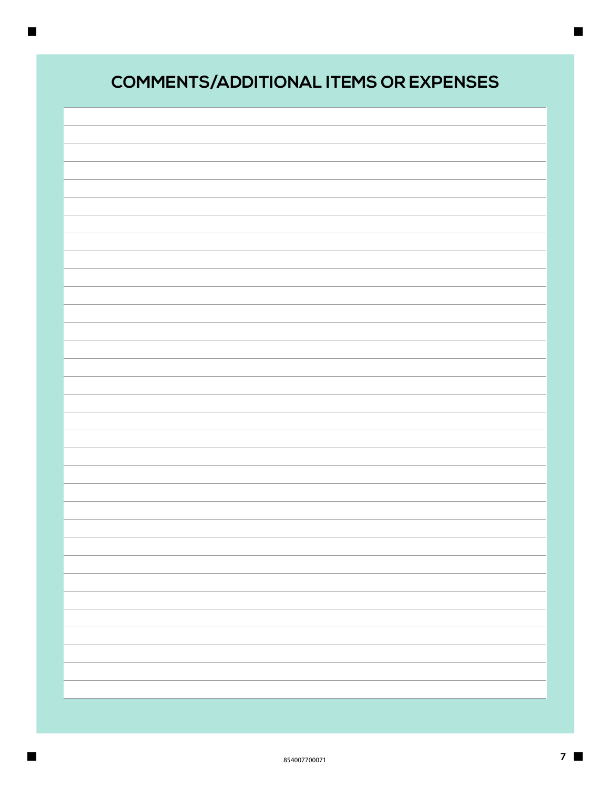| <b>COMMENTS/ADDITIONAL ITEMS OR EXPENSES</b> |
|----------------------------------------------|
|                                              |
|                                              |
|                                              |
|                                              |
|                                              |
|                                              |
|                                              |
|                                              |
|                                              |
|                                              |
|                                              |
|                                              |
|                                              |
|                                              |
|                                              |
|                                              |
|                                              |
|                                              |
|                                              |
|                                              |

 $\blacksquare$ 

 $\qquad \qquad \blacksquare$ 

 $\blacksquare$